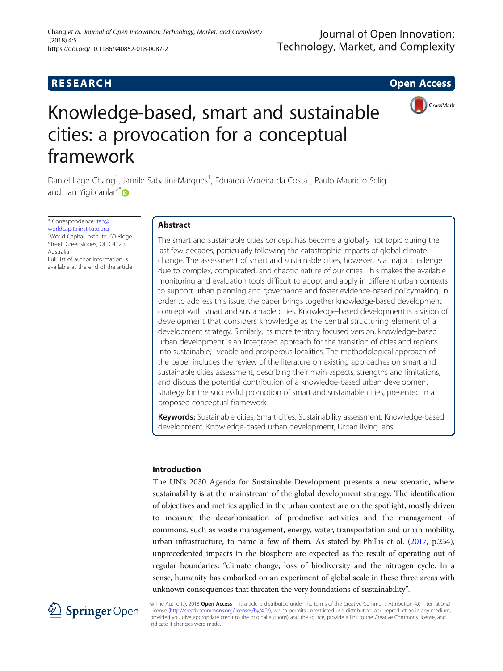## **RESEARCH RESEARCH CONSUMING ACCESS**



# Knowledge-based, smart and sustainable cities: a provocation for a conceptual framework

Daniel Lage Chang<sup>1</sup>, Jamile Sabatini-Marques<sup>1</sup>, Eduardo Moreira da Costa<sup>1</sup>, Paulo Mauricio Selig<sup>1</sup> and Tan Yigitcanlar<sup>2\*</sup> $\bullet$ 

\* Correspondence: [tan@](mailto:tan@worldcapitalinstitute.org) [worldcapitalinstitute.org](mailto:tan@worldcapitalinstitute.org) <sup>2</sup>World Capital Institute, 60 Ridge Street, Greenslopes, QLD 4120, Australia Full list of author information is available at the end of the article

#### Abstract

The smart and sustainable cities concept has become a globally hot topic during the last few decades, particularly following the catastrophic impacts of global climate change. The assessment of smart and sustainable cities, however, is a major challenge due to complex, complicated, and chaotic nature of our cities. This makes the available monitoring and evaluation tools difficult to adopt and apply in different urban contexts to support urban planning and governance and foster evidence-based policymaking. In order to address this issue, the paper brings together knowledge-based development concept with smart and sustainable cities. Knowledge-based development is a vision of development that considers knowledge as the central structuring element of a development strategy. Similarly, its more territory focused version, knowledge-based urban development is an integrated approach for the transition of cities and regions into sustainable, liveable and prosperous localities. The methodological approach of the paper includes the review of the literature on existing approaches on smart and sustainable cities assessment, describing their main aspects, strengths and limitations, and discuss the potential contribution of a knowledge-based urban development strategy for the successful promotion of smart and sustainable cities, presented in a proposed conceptual framework.

Keywords: Sustainable cities, Smart cities, Sustainability assessment, Knowledge-based development, Knowledge-based urban development, Urban living labs

#### Introduction

The UN's 2030 Agenda for Sustainable Development presents a new scenario, where sustainability is at the mainstream of the global development strategy. The identification of objectives and metrics applied in the urban context are on the spotlight, mostly driven to measure the decarbonisation of productive activities and the management of commons, such as waste management, energy, water, transportation and urban mobility, urban infrastructure, to name a few of them. As stated by Phillis et al. [\(2017](#page-15-0), p.254), unprecedented impacts in the biosphere are expected as the result of operating out of regular boundaries: "climate change, loss of biodiversity and the nitrogen cycle. In a sense, humanity has embarked on an experiment of global scale in these three areas with unknown consequences that threaten the very foundations of sustainability".



© The Author(s). 2018 Open Access This article is distributed under the terms of the Creative Commons Attribution 4.0 International License [\(http://creativecommons.org/licenses/by/4.0/](http://creativecommons.org/licenses/by/4.0/)), which permits unrestricted use, distribution, and reproduction in any medium, provided you give appropriate credit to the original author(s) and the source, provide a link to the Creative Commons license, and indicate if changes were made.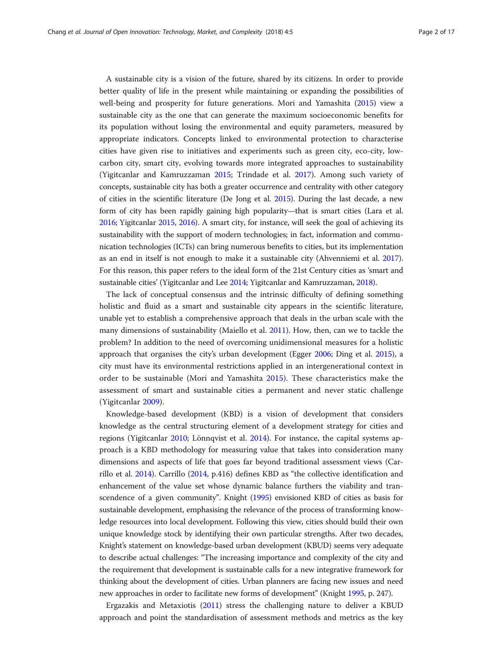A sustainable city is a vision of the future, shared by its citizens. In order to provide better quality of life in the present while maintaining or expanding the possibilities of well-being and prosperity for future generations. Mori and Yamashita ([2015\)](#page-15-0) view a sustainable city as the one that can generate the maximum socioeconomic benefits for its population without losing the environmental and equity parameters, measured by appropriate indicators. Concepts linked to environmental protection to characterise cities have given rise to initiatives and experiments such as green city, eco-city, lowcarbon city, smart city, evolving towards more integrated approaches to sustainability (Yigitcanlar and Kamruzzaman [2015;](#page-16-0) Trindade et al. [2017\)](#page-15-0). Among such variety of concepts, sustainable city has both a greater occurrence and centrality with other category of cities in the scientific literature (De Jong et al. [2015](#page-14-0)). During the last decade, a new form of city has been rapidly gaining high popularity—that is smart cities (Lara et al. [2016;](#page-15-0) Yigitcanlar [2015,](#page-15-0) [2016](#page-16-0)). A smart city, for instance, will seek the goal of achieving its sustainability with the support of modern technologies; in fact, information and communication technologies (ICTs) can bring numerous benefits to cities, but its implementation as an end in itself is not enough to make it a sustainable city (Ahvenniemi et al. [2017](#page-14-0)). For this reason, this paper refers to the ideal form of the 21st Century cities as 'smart and sustainable cities' (Yigitcanlar and Lee [2014;](#page-16-0) Yigitcanlar and Kamruzzaman, [2018\)](#page-16-0).

The lack of conceptual consensus and the intrinsic difficulty of defining something holistic and fluid as a smart and sustainable city appears in the scientific literature, unable yet to establish a comprehensive approach that deals in the urban scale with the many dimensions of sustainability (Maiello et al. [2011\)](#page-15-0). How, then, can we to tackle the problem? In addition to the need of overcoming unidimensional measures for a holistic approach that organises the city's urban development (Egger [2006](#page-14-0); Ding et al. [2015](#page-14-0)), a city must have its environmental restrictions applied in an intergenerational context in order to be sustainable (Mori and Yamashita [2015\)](#page-15-0). These characteristics make the assessment of smart and sustainable cities a permanent and never static challenge (Yigitcanlar [2009](#page-15-0)).

Knowledge-based development (KBD) is a vision of development that considers knowledge as the central structuring element of a development strategy for cities and regions (Yigitcanlar [2010;](#page-15-0) Lönnqvist et al. [2014\)](#page-15-0). For instance, the capital systems approach is a KBD methodology for measuring value that takes into consideration many dimensions and aspects of life that goes far beyond traditional assessment views (Carrillo et al. [2014\)](#page-14-0). Carrillo ([2014](#page-14-0), p.416) defines KBD as "the collective identification and enhancement of the value set whose dynamic balance furthers the viability and transcendence of a given community". Knight [\(1995\)](#page-15-0) envisioned KBD of cities as basis for sustainable development, emphasising the relevance of the process of transforming knowledge resources into local development. Following this view, cities should build their own unique knowledge stock by identifying their own particular strengths. After two decades, Knight's statement on knowledge-based urban development (KBUD) seems very adequate to describe actual challenges: "The increasing importance and complexity of the city and the requirement that development is sustainable calls for a new integrative framework for thinking about the development of cities. Urban planners are facing new issues and need new approaches in order to facilitate new forms of development" (Knight [1995](#page-15-0), p. 247).

Ergazakis and Metaxiotis [\(2011\)](#page-14-0) stress the challenging nature to deliver a KBUD approach and point the standardisation of assessment methods and metrics as the key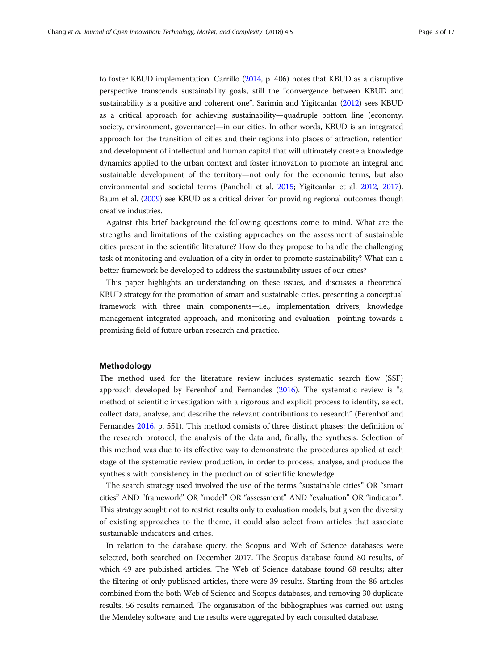to foster KBUD implementation. Carrillo [\(2014](#page-14-0), p. 406) notes that KBUD as a disruptive perspective transcends sustainability goals, still the "convergence between KBUD and sustainability is a positive and coherent one". Sarimin and Yigitcanlar [\(2012](#page-15-0)) sees KBUD as a critical approach for achieving sustainability—quadruple bottom line (economy, society, environment, governance)—in our cities. In other words, KBUD is an integrated approach for the transition of cities and their regions into places of attraction, retention and development of intellectual and human capital that will ultimately create a knowledge dynamics applied to the urban context and foster innovation to promote an integral and sustainable development of the territory—not only for the economic terms, but also environmental and societal terms (Pancholi et al. [2015;](#page-15-0) Yigitcanlar et al. [2012,](#page-16-0) [2017](#page-16-0)). Baum et al. [\(2009](#page-14-0)) see KBUD as a critical driver for providing regional outcomes though creative industries.

Against this brief background the following questions come to mind. What are the strengths and limitations of the existing approaches on the assessment of sustainable cities present in the scientific literature? How do they propose to handle the challenging task of monitoring and evaluation of a city in order to promote sustainability? What can a better framework be developed to address the sustainability issues of our cities?

This paper highlights an understanding on these issues, and discusses a theoretical KBUD strategy for the promotion of smart and sustainable cities, presenting a conceptual framework with three main components—i.e., implementation drivers, knowledge management integrated approach, and monitoring and evaluation—pointing towards a promising field of future urban research and practice.

#### Methodology

The method used for the literature review includes systematic search flow (SSF) approach developed by Ferenhof and Fernandes [\(2016\)](#page-15-0). The systematic review is "a method of scientific investigation with a rigorous and explicit process to identify, select, collect data, analyse, and describe the relevant contributions to research" (Ferenhof and Fernandes [2016](#page-15-0), p. 551). This method consists of three distinct phases: the definition of the research protocol, the analysis of the data and, finally, the synthesis. Selection of this method was due to its effective way to demonstrate the procedures applied at each stage of the systematic review production, in order to process, analyse, and produce the synthesis with consistency in the production of scientific knowledge.

The search strategy used involved the use of the terms "sustainable cities" OR "smart cities" AND "framework" OR "model" OR "assessment" AND "evaluation" OR "indicator". This strategy sought not to restrict results only to evaluation models, but given the diversity of existing approaches to the theme, it could also select from articles that associate sustainable indicators and cities.

In relation to the database query, the Scopus and Web of Science databases were selected, both searched on December 2017. The Scopus database found 80 results, of which 49 are published articles. The Web of Science database found 68 results; after the filtering of only published articles, there were 39 results. Starting from the 86 articles combined from the both Web of Science and Scopus databases, and removing 30 duplicate results, 56 results remained. The organisation of the bibliographies was carried out using the Mendeley software, and the results were aggregated by each consulted database.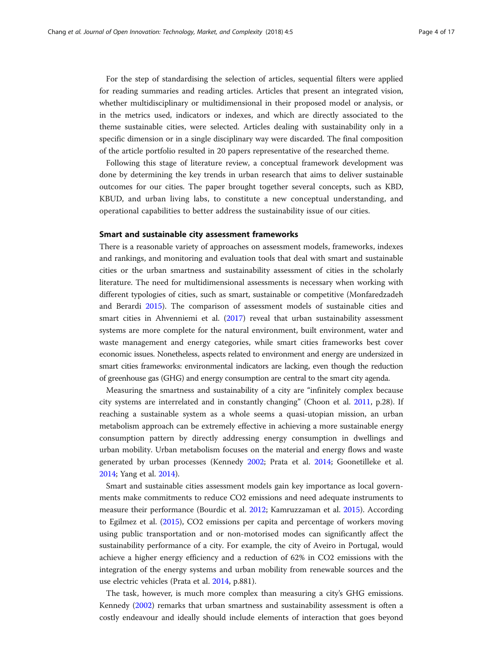For the step of standardising the selection of articles, sequential filters were applied for reading summaries and reading articles. Articles that present an integrated vision, whether multidisciplinary or multidimensional in their proposed model or analysis, or in the metrics used, indicators or indexes, and which are directly associated to the theme sustainable cities, were selected. Articles dealing with sustainability only in a specific dimension or in a single disciplinary way were discarded. The final composition of the article portfolio resulted in 20 papers representative of the researched theme.

Following this stage of literature review, a conceptual framework development was done by determining the key trends in urban research that aims to deliver sustainable outcomes for our cities. The paper brought together several concepts, such as KBD, KBUD, and urban living labs, to constitute a new conceptual understanding, and operational capabilities to better address the sustainability issue of our cities.

#### Smart and sustainable city assessment frameworks

There is a reasonable variety of approaches on assessment models, frameworks, indexes and rankings, and monitoring and evaluation tools that deal with smart and sustainable cities or the urban smartness and sustainability assessment of cities in the scholarly literature. The need for multidimensional assessments is necessary when working with different typologies of cities, such as smart, sustainable or competitive (Monfaredzadeh and Berardi [2015](#page-15-0)). The comparison of assessment models of sustainable cities and smart cities in Ahvenniemi et al. [\(2017\)](#page-14-0) reveal that urban sustainability assessment systems are more complete for the natural environment, built environment, water and waste management and energy categories, while smart cities frameworks best cover economic issues. Nonetheless, aspects related to environment and energy are undersized in smart cities frameworks: environmental indicators are lacking, even though the reduction of greenhouse gas (GHG) and energy consumption are central to the smart city agenda.

Measuring the smartness and sustainability of a city are "infinitely complex because city systems are interrelated and in constantly changing" (Choon et al. [2011,](#page-14-0) p.28). If reaching a sustainable system as a whole seems a quasi-utopian mission, an urban metabolism approach can be extremely effective in achieving a more sustainable energy consumption pattern by directly addressing energy consumption in dwellings and urban mobility. Urban metabolism focuses on the material and energy flows and waste generated by urban processes (Kennedy [2002;](#page-15-0) Prata et al. [2014](#page-15-0); Goonetilleke et al. [2014](#page-15-0); Yang et al. [2014](#page-15-0)).

Smart and sustainable cities assessment models gain key importance as local governments make commitments to reduce CO2 emissions and need adequate instruments to measure their performance (Bourdic et al. [2012;](#page-14-0) Kamruzzaman et al. [2015\)](#page-15-0). According to Egilmez et al. ([2015](#page-14-0)), CO2 emissions per capita and percentage of workers moving using public transportation and or non-motorised modes can significantly affect the sustainability performance of a city. For example, the city of Aveiro in Portugal, would achieve a higher energy efficiency and a reduction of 62% in CO2 emissions with the integration of the energy systems and urban mobility from renewable sources and the use electric vehicles (Prata et al. [2014](#page-15-0), p.881).

The task, however, is much more complex than measuring a city's GHG emissions. Kennedy [\(2002\)](#page-15-0) remarks that urban smartness and sustainability assessment is often a costly endeavour and ideally should include elements of interaction that goes beyond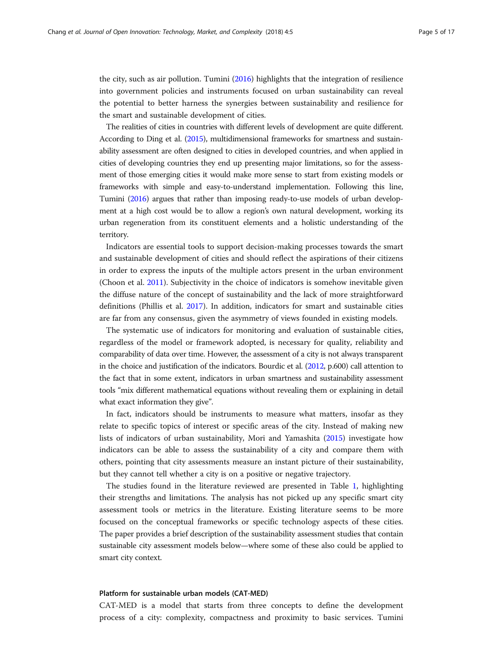the city, such as air pollution. Tumini ([2016\)](#page-15-0) highlights that the integration of resilience into government policies and instruments focused on urban sustainability can reveal the potential to better harness the synergies between sustainability and resilience for the smart and sustainable development of cities.

The realities of cities in countries with different levels of development are quite different. According to Ding et al. ([2015\)](#page-14-0), multidimensional frameworks for smartness and sustainability assessment are often designed to cities in developed countries, and when applied in cities of developing countries they end up presenting major limitations, so for the assessment of those emerging cities it would make more sense to start from existing models or frameworks with simple and easy-to-understand implementation. Following this line, Tumini [\(2016](#page-15-0)) argues that rather than imposing ready-to-use models of urban development at a high cost would be to allow a region's own natural development, working its urban regeneration from its constituent elements and a holistic understanding of the territory.

Indicators are essential tools to support decision-making processes towards the smart and sustainable development of cities and should reflect the aspirations of their citizens in order to express the inputs of the multiple actors present in the urban environment (Choon et al. [2011\)](#page-14-0). Subjectivity in the choice of indicators is somehow inevitable given the diffuse nature of the concept of sustainability and the lack of more straightforward definitions (Phillis et al. [2017\)](#page-15-0). In addition, indicators for smart and sustainable cities are far from any consensus, given the asymmetry of views founded in existing models.

The systematic use of indicators for monitoring and evaluation of sustainable cities, regardless of the model or framework adopted, is necessary for quality, reliability and comparability of data over time. However, the assessment of a city is not always transparent in the choice and justification of the indicators. Bourdic et al. [\(2012](#page-14-0), p.600) call attention to the fact that in some extent, indicators in urban smartness and sustainability assessment tools "mix different mathematical equations without revealing them or explaining in detail what exact information they give".

In fact, indicators should be instruments to measure what matters, insofar as they relate to specific topics of interest or specific areas of the city. Instead of making new lists of indicators of urban sustainability, Mori and Yamashita [\(2015\)](#page-15-0) investigate how indicators can be able to assess the sustainability of a city and compare them with others, pointing that city assessments measure an instant picture of their sustainability, but they cannot tell whether a city is on a positive or negative trajectory.

The studies found in the literature reviewed are presented in Table [1](#page-5-0), highlighting their strengths and limitations. The analysis has not picked up any specific smart city assessment tools or metrics in the literature. Existing literature seems to be more focused on the conceptual frameworks or specific technology aspects of these cities. The paper provides a brief description of the sustainability assessment studies that contain sustainable city assessment models below—where some of these also could be applied to smart city context.

#### Platform for sustainable urban models (CAT-MED)

CAT-MED is a model that starts from three concepts to define the development process of a city: complexity, compactness and proximity to basic services. Tumini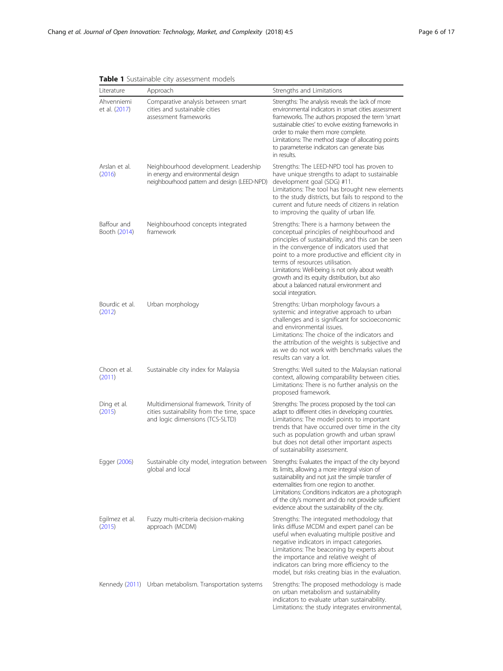| Literature                  | Approach                                                                                                                   | Strengths and Limitations                                                                                                                                                                                                                                                                                                                                                                                                                                 |
|-----------------------------|----------------------------------------------------------------------------------------------------------------------------|-----------------------------------------------------------------------------------------------------------------------------------------------------------------------------------------------------------------------------------------------------------------------------------------------------------------------------------------------------------------------------------------------------------------------------------------------------------|
| Ahvenniemi<br>et al. (2017) | Comparative analysis between smart<br>cities and sustainable cities<br>assessment frameworks                               | Strengths: The analysis reveals the lack of more<br>environmental indicators in smart cities assessment<br>frameworks. The authors proposed the term 'smart<br>sustainable cities' to evolve existing frameworks in<br>order to make them more complete.<br>Limitations: The method stage of allocating points<br>to parameterise indicators can generate bias<br>in results.                                                                             |
| Arslan et al.<br>(2016)     | Neighbourhood development. Leadership<br>in energy and environmental design<br>neighbourhood pattern and design (LEED-NPD) | Strengths: The LEED-NPD tool has proven to<br>have unique strengths to adapt to sustainable<br>development goal (SDG) #11.<br>Limitations: The tool has brought new elements<br>to the study districts, but fails to respond to the<br>current and future needs of citizens in relation<br>to improving the quality of urban life.                                                                                                                        |
| Baffour and<br>Booth (2014) | Neighbourhood concepts integrated<br>framework                                                                             | Strengths: There is a harmony between the<br>conceptual principles of neighbourhood and<br>principles of sustainability, and this can be seen<br>in the convergence of indicators used that<br>point to a more productive and efficient city in<br>terms of resources utilisation.<br>Limitations: Well-being is not only about wealth<br>growth and its equity distribution, but also<br>about a balanced natural environment and<br>social integration. |
| Bourdic et al.<br>(2012)    | Urban morphology                                                                                                           | Strengths: Urban morphology favours a<br>systemic and integrative approach to urban<br>challenges and is significant for socioeconomic<br>and environmental issues.<br>Limitations: The choice of the indicators and<br>the attribution of the weights is subjective and<br>as we do not work with benchmarks values the<br>results can vary a lot.                                                                                                       |
| Choon et al.<br>(2011)      | Sustainable city index for Malaysia                                                                                        | Strengths: Well suited to the Malaysian national<br>context, allowing comparability between cities.<br>Limitations: There is no further analysis on the<br>proposed framework.                                                                                                                                                                                                                                                                            |
| Ding et al.<br>(2015)       | Multidimensional framework. Trinity of<br>cities sustainability from the time, space<br>and logic dimensions (TCS-SLTD)    | Strengths: The process proposed by the tool can<br>adapt to different cities in developing countries.<br>Limitations: The model points to important<br>trends that have occurred over time in the city<br>such as population growth and urban sprawl<br>but does not detail other important aspects<br>of sustainability assessment.                                                                                                                      |
| Egger (2006)                | Sustainable city model, integration between<br>global and local                                                            | Strengths: Evaluates the impact of the city beyond<br>its limits, allowing a more integral vision of<br>sustainability and not just the simple transfer of<br>externalities from one region to another.<br>Limitations: Conditions indicators are a photograph<br>of the city's moment and do not provide sufficient<br>evidence about the sustainability of the city.                                                                                    |
| Egilmez et al.<br>(2015)    | Fuzzy multi-criteria decision-making<br>approach (MCDM)                                                                    | Strengths: The integrated methodology that<br>links diffuse MCDM and expert panel can be<br>useful when evaluating multiple positive and<br>negative indicators in impact categories.<br>Limitations: The beaconing by experts about<br>the importance and relative weight of<br>indicators can bring more efficiency to the<br>model, but risks creating bias in the evaluation.                                                                         |
|                             | Kennedy (2011) Urban metabolism. Transportation systems                                                                    | Strengths: The proposed methodology is made<br>on urban metabolism and sustainability<br>indicators to evaluate urban sustainability.<br>Limitations: the study integrates environmental,                                                                                                                                                                                                                                                                 |

<span id="page-5-0"></span>Table 1 Sustainable city assessment models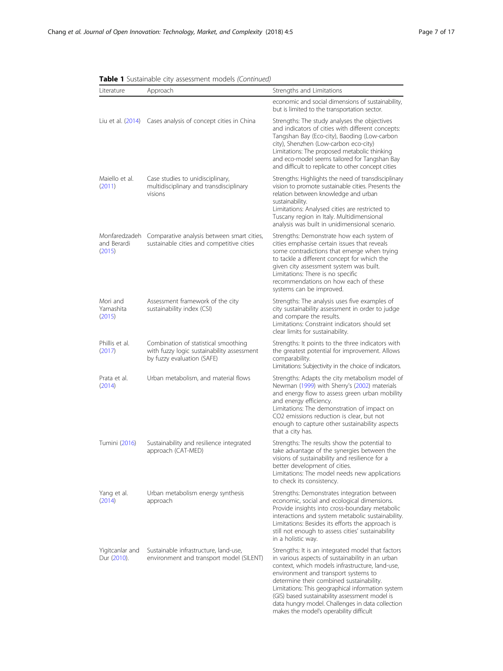| Literature                      | Approach                                                                                                         | Strengths and Limitations                                                                                                                                                                                                                                                                                                                                                                               |
|---------------------------------|------------------------------------------------------------------------------------------------------------------|---------------------------------------------------------------------------------------------------------------------------------------------------------------------------------------------------------------------------------------------------------------------------------------------------------------------------------------------------------------------------------------------------------|
|                                 |                                                                                                                  | economic and social dimensions of sustainability,<br>but is limited to the transportation sector.                                                                                                                                                                                                                                                                                                       |
|                                 | Liu et al. (2014) Cases analysis of concept cities in China                                                      | Strengths: The study analyses the objectives<br>and indicators of cities with different concepts:<br>Tangshan Bay (Eco-city), Baoding (Low-carbon<br>city), Shenzhen (Low-carbon eco-city)<br>Limitations: The proposed metabolic thinking<br>and eco-model seems tailored for Tangshan Bay<br>and difficult to replicate to other concept cities                                                       |
| Maiello et al.<br>(2011)        | Case studies to unidisciplinary,<br>multidisciplinary and transdisciplinary<br>visions                           | Strengths: Highlights the need of transdisciplinary<br>vision to promote sustainable cities. Presents the<br>relation between knowledge and urban<br>sustainability.<br>Limitations: Analysed cities are restricted to<br>Tuscany region in Italy. Multidimensional<br>analysis was built in unidimensional scenario.                                                                                   |
| and Berardi<br>(2015)           | Monfaredzadeh Comparative analysis between smart cities,<br>sustainable cities and competitive cities            | Strengths: Demonstrate how each system of<br>cities emphasise certain issues that reveals<br>some contradictions that emerge when trying<br>to tackle a different concept for which the<br>given city assessment system was built.<br>Limitations: There is no specific<br>recommendations on how each of these<br>systems can be improved.                                                             |
| Mori and<br>Yamashita<br>(2015) | Assessment framework of the city<br>sustainability index (CSI)                                                   | Strengths: The analysis uses five examples of<br>city sustainability assessment in order to judge<br>and compare the results.<br>Limitations: Constraint indicators should set<br>clear limits for sustainability.                                                                                                                                                                                      |
| Phillis et al.<br>(2017)        | Combination of statistical smoothing<br>with fuzzy logic sustainability assessment<br>by fuzzy evaluation (SAFE) | Strengths: It points to the three indicators with<br>the greatest potential for improvement. Allows<br>comparability.<br>Limitations: Subjectivity in the choice of indicators.                                                                                                                                                                                                                         |
| Prata et al.<br>(2014)          | Urban metabolism, and material flows                                                                             | Strengths: Adapts the city metabolism model of<br>Newman (1999) with Sherry's (2002) materials<br>and energy flow to assess green urban mobility<br>and energy efficiency.<br>Limitations: The demonstration of impact on<br>CO2 emissions reduction is clear, but not<br>enough to capture other sustainability aspects<br>that a city has.                                                            |
| Tumini (2016)                   | Sustainability and resilience integrated<br>approach (CAT-MED)                                                   | Strengths: The results show the potential to<br>take advantage of the synergies between the<br>visions of sustainability and resilience for a<br>better development of cities.<br>Limitations: The model needs new applications<br>to check its consistency.                                                                                                                                            |
| Yang et al.<br>(2014)           | Urban metabolism energy synthesis<br>approach                                                                    | Strengths: Demonstrates integration between<br>economic, social and ecological dimensions.<br>Provide insights into cross-boundary metabolic<br>interactions and system metabolic sustainability.<br>Limitations: Besides its efforts the approach is<br>still not enough to assess cities' sustainability<br>in a holistic way.                                                                        |
| Yigitcanlar and<br>Dur (2010).  | Sustainable infrastructure, land-use,<br>environment and transport model (SILENT)                                | Strengths: It is an integrated model that factors<br>in various aspects of sustainability in an urban<br>context, which models infrastructure, land-use,<br>environment and transport systems to<br>determine their combined sustainability.<br>Limitations: This geographical information system<br>(GIS) based sustainability assessment model is<br>data hungry model. Challenges in data collection |

makes the model's operability difficult

|  |  |  |  |  |  | <b>Table 1</b> Sustainable city assessment models (Continued) |  |  |  |  |
|--|--|--|--|--|--|---------------------------------------------------------------|--|--|--|--|
|--|--|--|--|--|--|---------------------------------------------------------------|--|--|--|--|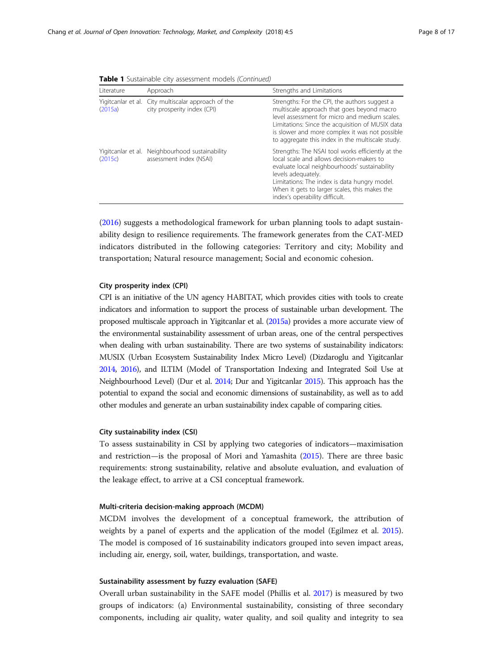| Literature | Approach                                                                           | Strengths and Limitations                                                                                                                                                                                                                                                                                |
|------------|------------------------------------------------------------------------------------|----------------------------------------------------------------------------------------------------------------------------------------------------------------------------------------------------------------------------------------------------------------------------------------------------------|
| (2015a)    | Yigitcanlar et al. City multiscalar approach of the<br>city prosperity index (CPI) | Strengths: For the CPI, the authors suggest a<br>multiscale approach that goes beyond macro<br>level assessment for micro and medium scales.<br>Limitations: Since the acquisition of MUSIX data<br>is slower and more complex it was not possible<br>to aggregate this index in the multiscale study.   |
| (2015c)    | Yigitcanlar et al. Neighbourhood sustainability<br>assessment index (NSAI)         | Strengths: The NSAI tool works efficiently at the<br>local scale and allows decision-makers to<br>evaluate local neighbourhoods' sustainability<br>levels adequately.<br>Limitations: The index is data hungry model.<br>When it gets to larger scales, this makes the<br>index's operability difficult. |

Table 1 Sustainable city assessment models (Continued)

([2016](#page-15-0)) suggests a methodological framework for urban planning tools to adapt sustainability design to resilience requirements. The framework generates from the CAT-MED indicators distributed in the following categories: Territory and city; Mobility and transportation; Natural resource management; Social and economic cohesion.

#### City prosperity index (CPI)

CPI is an initiative of the UN agency HABITAT, which provides cities with tools to create indicators and information to support the process of sustainable urban development. The proposed multiscale approach in Yigitcanlar et al. [\(2015a](#page-16-0)) provides a more accurate view of the environmental sustainability assessment of urban areas, one of the central perspectives when dealing with urban sustainability. There are two systems of sustainability indicators: MUSIX (Urban Ecosystem Sustainability Index Micro Level) (Dizdaroglu and Yigitcanlar [2014](#page-14-0), [2016\)](#page-14-0), and ILTIM (Model of Transportation Indexing and Integrated Soil Use at Neighbourhood Level) (Dur et al. [2014](#page-14-0); Dur and Yigitcanlar [2015\)](#page-14-0). This approach has the potential to expand the social and economic dimensions of sustainability, as well as to add other modules and generate an urban sustainability index capable of comparing cities.

#### City sustainability index (CSI)

To assess sustainability in CSI by applying two categories of indicators—maximisation and restriction—is the proposal of Mori and Yamashita ([2015](#page-15-0)). There are three basic requirements: strong sustainability, relative and absolute evaluation, and evaluation of the leakage effect, to arrive at a CSI conceptual framework.

#### Multi-criteria decision-making approach (MCDM)

MCDM involves the development of a conceptual framework, the attribution of weights by a panel of experts and the application of the model (Egilmez et al. [2015](#page-14-0)). The model is composed of 16 sustainability indicators grouped into seven impact areas, including air, energy, soil, water, buildings, transportation, and waste.

#### Sustainability assessment by fuzzy evaluation (SAFE)

Overall urban sustainability in the SAFE model (Phillis et al. [2017\)](#page-15-0) is measured by two groups of indicators: (a) Environmental sustainability, consisting of three secondary components, including air quality, water quality, and soil quality and integrity to sea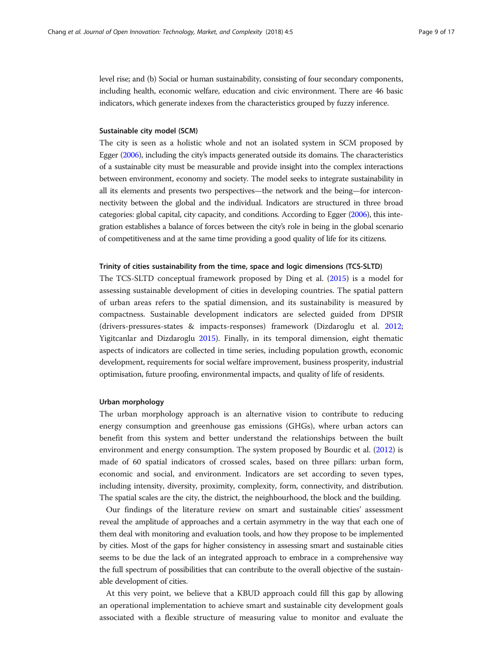level rise; and (b) Social or human sustainability, consisting of four secondary components, including health, economic welfare, education and civic environment. There are 46 basic indicators, which generate indexes from the characteristics grouped by fuzzy inference.

#### Sustainable city model (SCM)

The city is seen as a holistic whole and not an isolated system in SCM proposed by Egger ([2006](#page-14-0)), including the city's impacts generated outside its domains. The characteristics of a sustainable city must be measurable and provide insight into the complex interactions between environment, economy and society. The model seeks to integrate sustainability in all its elements and presents two perspectives—the network and the being—for interconnectivity between the global and the individual. Indicators are structured in three broad categories: global capital, city capacity, and conditions. According to Egger ([2006\)](#page-14-0), this integration establishes a balance of forces between the city's role in being in the global scenario of competitiveness and at the same time providing a good quality of life for its citizens.

#### Trinity of cities sustainability from the time, space and logic dimensions (TCS-SLTD)

The TCS-SLTD conceptual framework proposed by Ding et al. ([2015](#page-14-0)) is a model for assessing sustainable development of cities in developing countries. The spatial pattern of urban areas refers to the spatial dimension, and its sustainability is measured by compactness. Sustainable development indicators are selected guided from DPSIR (drivers-pressures-states & impacts-responses) framework (Dizdaroglu et al. [2012](#page-14-0); Yigitcanlar and Dizdaroglu [2015](#page-16-0)). Finally, in its temporal dimension, eight thematic aspects of indicators are collected in time series, including population growth, economic development, requirements for social welfare improvement, business prosperity, industrial optimisation, future proofing, environmental impacts, and quality of life of residents.

#### Urban morphology

The urban morphology approach is an alternative vision to contribute to reducing energy consumption and greenhouse gas emissions (GHGs), where urban actors can benefit from this system and better understand the relationships between the built environment and energy consumption. The system proposed by Bourdic et al. [\(2012\)](#page-14-0) is made of 60 spatial indicators of crossed scales, based on three pillars: urban form, economic and social, and environment. Indicators are set according to seven types, including intensity, diversity, proximity, complexity, form, connectivity, and distribution. The spatial scales are the city, the district, the neighbourhood, the block and the building.

Our findings of the literature review on smart and sustainable cities' assessment reveal the amplitude of approaches and a certain asymmetry in the way that each one of them deal with monitoring and evaluation tools, and how they propose to be implemented by cities. Most of the gaps for higher consistency in assessing smart and sustainable cities seems to be due the lack of an integrated approach to embrace in a comprehensive way the full spectrum of possibilities that can contribute to the overall objective of the sustainable development of cities.

At this very point, we believe that a KBUD approach could fill this gap by allowing an operational implementation to achieve smart and sustainable city development goals associated with a flexible structure of measuring value to monitor and evaluate the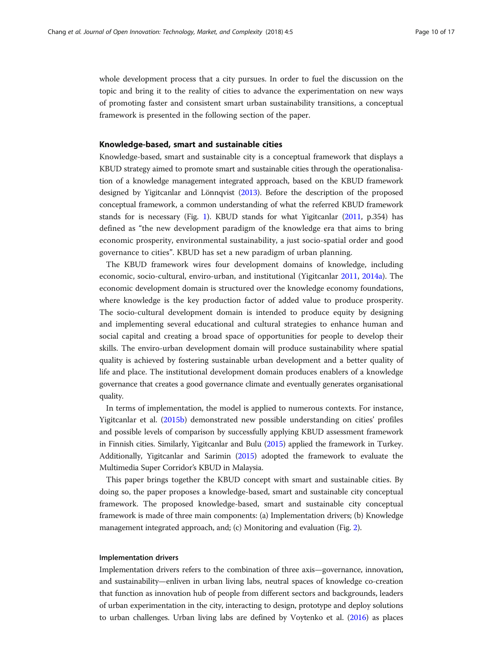whole development process that a city pursues. In order to fuel the discussion on the topic and bring it to the reality of cities to advance the experimentation on new ways of promoting faster and consistent smart urban sustainability transitions, a conceptual framework is presented in the following section of the paper.

#### Knowledge-based, smart and sustainable cities

Knowledge-based, smart and sustainable city is a conceptual framework that displays a KBUD strategy aimed to promote smart and sustainable cities through the operationalisation of a knowledge management integrated approach, based on the KBUD framework designed by Yigitcanlar and Lönnqvist [\(2013\)](#page-16-0). Before the description of the proposed conceptual framework, a common understanding of what the referred KBUD framework stands for is necessary (Fig. [1](#page-10-0)). KBUD stands for what Yigitcanlar [\(2011,](#page-15-0) p.354) has defined as "the new development paradigm of the knowledge era that aims to bring economic prosperity, environmental sustainability, a just socio-spatial order and good governance to cities". KBUD has set a new paradigm of urban planning.

The KBUD framework wires four development domains of knowledge, including economic, socio-cultural, enviro-urban, and institutional (Yigitcanlar [2011,](#page-15-0) [2014a\)](#page-15-0). The economic development domain is structured over the knowledge economy foundations, where knowledge is the key production factor of added value to produce prosperity. The socio-cultural development domain is intended to produce equity by designing and implementing several educational and cultural strategies to enhance human and social capital and creating a broad space of opportunities for people to develop their skills. The enviro-urban development domain will produce sustainability where spatial quality is achieved by fostering sustainable urban development and a better quality of life and place. The institutional development domain produces enablers of a knowledge governance that creates a good governance climate and eventually generates organisational quality.

In terms of implementation, the model is applied to numerous contexts. For instance, Yigitcanlar et al. ([2015b](#page-16-0)) demonstrated new possible understanding on cities' profiles and possible levels of comparison by successfully applying KBUD assessment framework in Finnish cities. Similarly, Yigitcanlar and Bulu [\(2015](#page-16-0)) applied the framework in Turkey. Additionally, Yigitcanlar and Sarimin ([2015](#page-16-0)) adopted the framework to evaluate the Multimedia Super Corridor's KBUD in Malaysia.

This paper brings together the KBUD concept with smart and sustainable cities. By doing so, the paper proposes a knowledge-based, smart and sustainable city conceptual framework. The proposed knowledge-based, smart and sustainable city conceptual framework is made of three main components: (a) Implementation drivers; (b) Knowledge management integrated approach, and; (c) Monitoring and evaluation (Fig. [2](#page-11-0)).

#### Implementation drivers

Implementation drivers refers to the combination of three axis—governance, innovation, and sustainability—enliven in urban living labs, neutral spaces of knowledge co-creation that function as innovation hub of people from different sectors and backgrounds, leaders of urban experimentation in the city, interacting to design, prototype and deploy solutions to urban challenges. Urban living labs are defined by Voytenko et al. [\(2016\)](#page-15-0) as places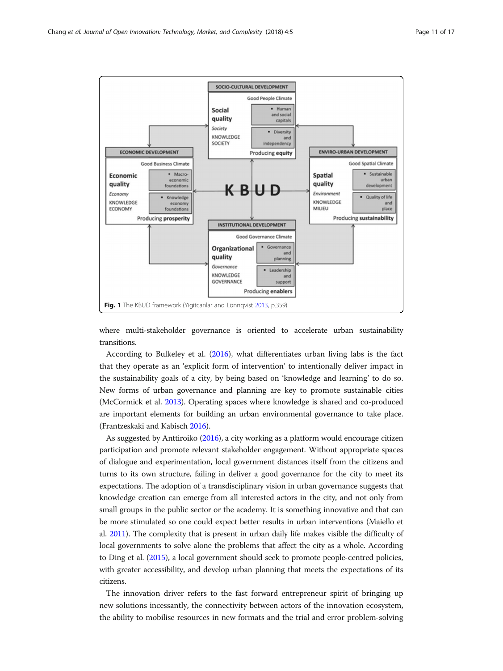<span id="page-10-0"></span>

where multi-stakeholder governance is oriented to accelerate urban sustainability transitions.

According to Bulkeley et al. [\(2016\)](#page-14-0), what differentiates urban living labs is the fact that they operate as an 'explicit form of intervention' to intentionally deliver impact in the sustainability goals of a city, by being based on 'knowledge and learning' to do so. New forms of urban governance and planning are key to promote sustainable cities (McCormick et al. [2013\)](#page-15-0). Operating spaces where knowledge is shared and co-produced are important elements for building an urban environmental governance to take place. (Frantzeskaki and Kabisch [2016](#page-15-0)).

As suggested by Anttiroiko ([2016\)](#page-14-0), a city working as a platform would encourage citizen participation and promote relevant stakeholder engagement. Without appropriate spaces of dialogue and experimentation, local government distances itself from the citizens and turns to its own structure, failing in deliver a good governance for the city to meet its expectations. The adoption of a transdisciplinary vision in urban governance suggests that knowledge creation can emerge from all interested actors in the city, and not only from small groups in the public sector or the academy. It is something innovative and that can be more stimulated so one could expect better results in urban interventions (Maiello et al. [2011\)](#page-15-0). The complexity that is present in urban daily life makes visible the difficulty of local governments to solve alone the problems that affect the city as a whole. According to Ding et al. ([2015\)](#page-14-0), a local government should seek to promote people-centred policies, with greater accessibility, and develop urban planning that meets the expectations of its citizens.

The innovation driver refers to the fast forward entrepreneur spirit of bringing up new solutions incessantly, the connectivity between actors of the innovation ecosystem, the ability to mobilise resources in new formats and the trial and error problem-solving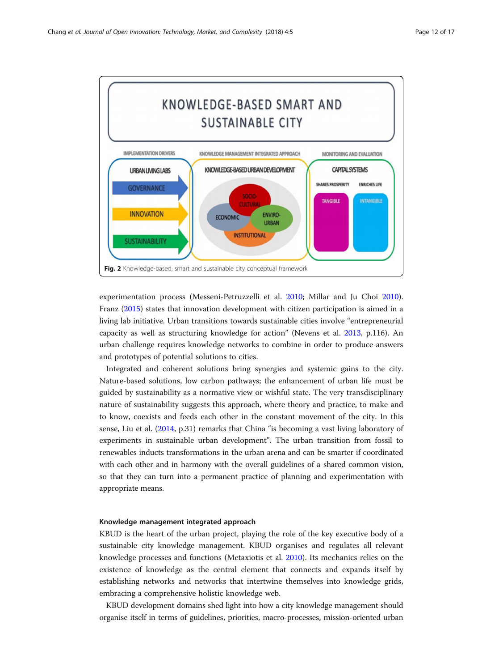<span id="page-11-0"></span>

experimentation process (Messeni-Petruzzelli et al. [2010](#page-15-0); Millar and Ju Choi [2010](#page-15-0)). Franz ([2015](#page-15-0)) states that innovation development with citizen participation is aimed in a living lab initiative. Urban transitions towards sustainable cities involve "entrepreneurial capacity as well as structuring knowledge for action" (Nevens et al. [2013](#page-15-0), p.116). An urban challenge requires knowledge networks to combine in order to produce answers and prototypes of potential solutions to cities.

Integrated and coherent solutions bring synergies and systemic gains to the city. Nature-based solutions, low carbon pathways; the enhancement of urban life must be guided by sustainability as a normative view or wishful state. The very transdisciplinary nature of sustainability suggests this approach, where theory and practice, to make and to know, coexists and feeds each other in the constant movement of the city. In this sense, Liu et al. ([2014](#page-15-0), p.31) remarks that China "is becoming a vast living laboratory of experiments in sustainable urban development". The urban transition from fossil to renewables inducts transformations in the urban arena and can be smarter if coordinated with each other and in harmony with the overall guidelines of a shared common vision, so that they can turn into a permanent practice of planning and experimentation with appropriate means.

#### Knowledge management integrated approach

KBUD is the heart of the urban project, playing the role of the key executive body of a sustainable city knowledge management. KBUD organises and regulates all relevant knowledge processes and functions (Metaxiotis et al. [2010](#page-15-0)). Its mechanics relies on the existence of knowledge as the central element that connects and expands itself by establishing networks and networks that intertwine themselves into knowledge grids, embracing a comprehensive holistic knowledge web.

KBUD development domains shed light into how a city knowledge management should organise itself in terms of guidelines, priorities, macro-processes, mission-oriented urban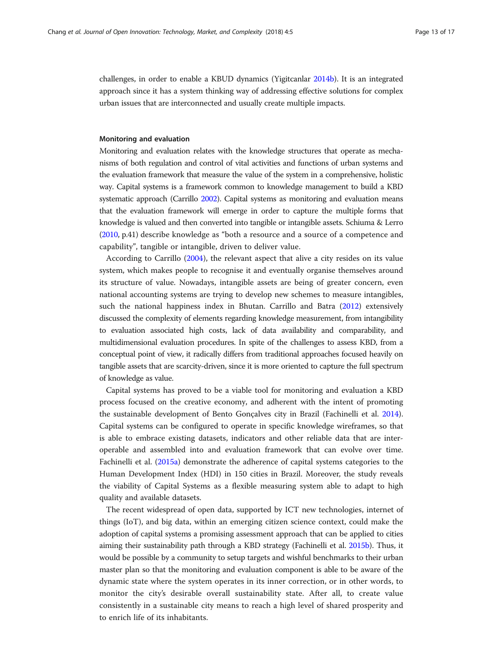challenges, in order to enable a KBUD dynamics (Yigitcanlar [2014b\)](#page-15-0). It is an integrated approach since it has a system thinking way of addressing effective solutions for complex urban issues that are interconnected and usually create multiple impacts.

#### Monitoring and evaluation

Monitoring and evaluation relates with the knowledge structures that operate as mechanisms of both regulation and control of vital activities and functions of urban systems and the evaluation framework that measure the value of the system in a comprehensive, holistic way. Capital systems is a framework common to knowledge management to build a KBD systematic approach (Carrillo [2002](#page-14-0)). Capital systems as monitoring and evaluation means that the evaluation framework will emerge in order to capture the multiple forms that knowledge is valued and then converted into tangible or intangible assets. Schiuma & Lerro ([2010,](#page-15-0) p.41) describe knowledge as "both a resource and a source of a competence and capability", tangible or intangible, driven to deliver value.

According to Carrillo ([2004\)](#page-14-0), the relevant aspect that alive a city resides on its value system, which makes people to recognise it and eventually organise themselves around its structure of value. Nowadays, intangible assets are being of greater concern, even national accounting systems are trying to develop new schemes to measure intangibles, such the national happiness index in Bhutan. Carrillo and Batra [\(2012](#page-14-0)) extensively discussed the complexity of elements regarding knowledge measurement, from intangibility to evaluation associated high costs, lack of data availability and comparability, and multidimensional evaluation procedures. In spite of the challenges to assess KBD, from a conceptual point of view, it radically differs from traditional approaches focused heavily on tangible assets that are scarcity-driven, since it is more oriented to capture the full spectrum of knowledge as value.

Capital systems has proved to be a viable tool for monitoring and evaluation a KBD process focused on the creative economy, and adherent with the intent of promoting the sustainable development of Bento Gonçalves city in Brazil (Fachinelli et al. [2014](#page-15-0)). Capital systems can be configured to operate in specific knowledge wireframes, so that is able to embrace existing datasets, indicators and other reliable data that are interoperable and assembled into and evaluation framework that can evolve over time. Fachinelli et al. ([2015a\)](#page-15-0) demonstrate the adherence of capital systems categories to the Human Development Index (HDI) in 150 cities in Brazil. Moreover, the study reveals the viability of Capital Systems as a flexible measuring system able to adapt to high quality and available datasets.

The recent widespread of open data, supported by ICT new technologies, internet of things (IoT), and big data, within an emerging citizen science context, could make the adoption of capital systems a promising assessment approach that can be applied to cities aiming their sustainability path through a KBD strategy (Fachinelli et al. [2015b\)](#page-15-0). Thus, it would be possible by a community to setup targets and wishful benchmarks to their urban master plan so that the monitoring and evaluation component is able to be aware of the dynamic state where the system operates in its inner correction, or in other words, to monitor the city's desirable overall sustainability state. After all, to create value consistently in a sustainable city means to reach a high level of shared prosperity and to enrich life of its inhabitants.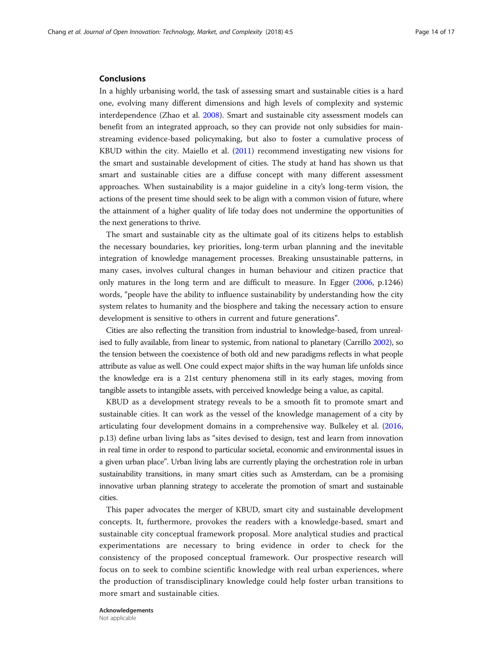#### Conclusions

In a highly urbanising world, the task of assessing smart and sustainable cities is a hard one, evolving many different dimensions and high levels of complexity and systemic interdependence (Zhao et al. [2008\)](#page-16-0). Smart and sustainable city assessment models can benefit from an integrated approach, so they can provide not only subsidies for mainstreaming evidence-based policymaking, but also to foster a cumulative process of KBUD within the city. Maiello et al. [\(2011](#page-15-0)) recommend investigating new visions for the smart and sustainable development of cities. The study at hand has shown us that smart and sustainable cities are a diffuse concept with many different assessment approaches. When sustainability is a major guideline in a city's long-term vision, the actions of the present time should seek to be align with a common vision of future, where the attainment of a higher quality of life today does not undermine the opportunities of the next generations to thrive.

The smart and sustainable city as the ultimate goal of its citizens helps to establish the necessary boundaries, key priorities, long-term urban planning and the inevitable integration of knowledge management processes. Breaking unsustainable patterns, in many cases, involves cultural changes in human behaviour and citizen practice that only matures in the long term and are difficult to measure. In Egger [\(2006,](#page-14-0) p.1246) words, "people have the ability to influence sustainability by understanding how the city system relates to humanity and the biosphere and taking the necessary action to ensure development is sensitive to others in current and future generations".

Cities are also reflecting the transition from industrial to knowledge-based, from unrealised to fully available, from linear to systemic, from national to planetary (Carrillo [2002](#page-14-0)), so the tension between the coexistence of both old and new paradigms reflects in what people attribute as value as well. One could expect major shifts in the way human life unfolds since the knowledge era is a 21st century phenomena still in its early stages, moving from tangible assets to intangible assets, with perceived knowledge being a value, as capital.

KBUD as a development strategy reveals to be a smooth fit to promote smart and sustainable cities. It can work as the vessel of the knowledge management of a city by articulating four development domains in a comprehensive way. Bulkeley et al. ([2016](#page-14-0), p.13) define urban living labs as "sites devised to design, test and learn from innovation in real time in order to respond to particular societal, economic and environmental issues in a given urban place". Urban living labs are currently playing the orchestration role in urban sustainability transitions, in many smart cities such as Amsterdam, can be a promising innovative urban planning strategy to accelerate the promotion of smart and sustainable cities.

This paper advocates the merger of KBUD, smart city and sustainable development concepts. It, furthermore, provokes the readers with a knowledge-based, smart and sustainable city conceptual framework proposal. More analytical studies and practical experimentations are necessary to bring evidence in order to check for the consistency of the proposed conceptual framework. Our prospective research will focus on to seek to combine scientific knowledge with real urban experiences, where the production of transdisciplinary knowledge could help foster urban transitions to more smart and sustainable cities.

Acknowledgements Not applicable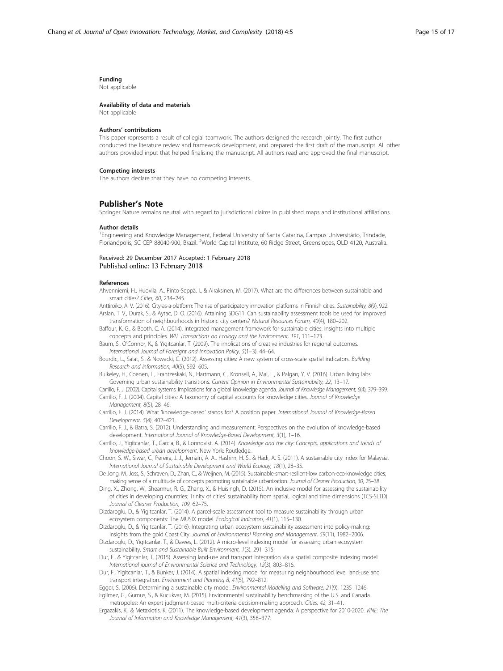#### <span id="page-14-0"></span>Funding

Not applicable

#### Availability of data and materials

Not applicable

#### Authors' contributions

This paper represents a result of collegial teamwork. The authors designed the research jointly. The first author conducted the literature review and framework development, and prepared the first draft of the manuscript. All other authors provided input that helped finalising the manuscript. All authors read and approved the final manuscript.

#### Competing interests

The authors declare that they have no competing interests.

#### Publisher's Note

Springer Nature remains neutral with regard to jurisdictional claims in published maps and institutional affiliations.

#### Author details

<sup>1</sup> Engineering and Knowledge Management, Federal University of Santa Catarina, Campus Universitário, Trindade, Florianópolis, SC CEP 88040-900, Brazil. <sup>2</sup>World Capital Institute, 60 Ridge Street, Greenslopes, QLD 4120, Australia

#### Received: 29 December 2017 Accepted: 1 February 2018 Published online: 13 February 2018

#### References

- Ahvenniemi, H., Huovila, A., Pinto-Seppä, I., & Airaksinen, M. (2017). What are the differences between sustainable and smart cities? Cities, 60, 234-245.
- Anttiroiko, A. V. (2016). City-as-a-platform: The rise of participatory innovation platforms in Finnish cities. Sustainability, 8(9), 922. Arslan, T. V., Durak, S., & Aytac, D. O. (2016). Attaining SDG11: Can sustainability assessment tools be used for improved
- transformation of neighbourhoods in historic city centers? Natural Resources Forum, 40(4), 180–202. Baffour, K. G., & Booth, C. A. (2014). Integrated management framework for sustainable cities: Insights into multiple
- concepts and principles. WIT Transactions on Ecology and the Environment, 191, 111–123. Baum, S., O'Connor, K., & Yigitcanlar, T. (2009). The implications of creative industries for regional outcomes.
- International Journal of Foresight and Innovation Policy, 5(1–3), 44–64.
- Bourdic, L., Salat, S., & Nowacki, C. (2012). Assessing cities: A new system of cross-scale spatial indicators. Building Research and Information, 40(5), 592–605.
- Bulkeley, H., Coenen, L., Frantzeskaki, N., Hartmann, C., Kronsell, A., Mai, L., & Palgan, Y. V. (2016). Urban living labs: Governing urban sustainability transitions. Current Opinion in Environmental Sustainability, 22, 13–17.

Carrillo, F. J. (2002). Capital systems: Implications for a global knowledge agenda. Journal of Knowledge Management, 6(4), 379–399. Carrillo, F. J. (2004). Capital cities: A taxonomy of capital accounts for knowledge cities. Journal of Knowledge Management, 8(5), 28–46.

Carrillo, F. J. (2014). What 'knowledge-based' stands for? A position paper. International Journal of Knowledge-Based Development, 5(4), 402–421.

Carrillo, F. J., & Batra, S. (2012). Understanding and measurement: Perspectives on the evolution of knowledge-based development. International Journal of Knowledge-Based Development, 3(1), 1–16.

Carrillo, J., Yigitcanlar, T., Garcia, B., & Lonnqvist, A. (2014). Knowledge and the city: Concepts, applications and trends of knowledge-based urban development. New York: Routledge.

Choon, S. W., Siwar, C., Pereira, J. J., Jemain, A. A., Hashim, H. S., & Hadi, A. S. (2011). A sustainable city index for Malaysia. International Journal of Sustainable Development and World Ecology, 18(1), 28–35.

De Jong, M., Joss, S., Schraven, D., Zhan, C., & Weijnen, M. (2015). Sustainable-smart-resilient-low carbon-eco-knowledge cities; making sense of a multitude of concepts promoting sustainable urbanization. Journal of Cleaner Production, 30, 25–38.

Ding, X., Zhong, W., Shearmur, R. G., Zhang, X., & Huisingh, D. (2015). An inclusive model for assessing the sustainability of cities in developing countries: Trinity of cities' sustainability from spatial, logical and time dimensions (TCS-SLTD). Journal of Cleaner Production, 109, 62–75.

Dizdaroglu, D., & Yigitcanlar, T. (2014). A parcel-scale assessment tool to measure sustainability through urban ecosystem components: The MUSIX model. Ecological Indicators, 41(1), 115–130.

Dizdaroglu, D., & Yigitcanlar, T. (2016). Integrating urban ecosystem sustainability assessment into policy-making: Insights from the gold Coast City. Journal of Environmental Planning and Management, 59(11), 1982–2006.

Dizdaroglu, D., Yigitcanlar, T., & Dawes, L. (2012). A micro-level indexing model for assessing urban ecosystem sustainability. Smart and Sustainable Built Environment, 1(3), 291–315.

Dur, F., & Yigitcanlar, T. (2015). Assessing land-use and transport integration via a spatial composite indexing model. International journal of Environmental Science and Technology, 12(3), 803–816.

Dur, F., Yigitcanlar, T., & Bunker, J. (2014). A spatial indexing model for measuring neighbourhood level land-use and transport integration. Environment and Planning B, 41(5), 792–812.

Egger, S. (2006). Determining a sustainable city model. Environmental Modelling and Software, 21(9), 1235–1246. Egilmez, G., Gumus, S., & Kucukvar, M. (2015). Environmental sustainability benchmarking of the U.S. and Canada

metropoles: An expert judgment-based multi-criteria decision-making approach. Cities, 42, 31–41.

Ergazakis, K., & Metaxiotis, K. (2011). The knowledge-based development agenda: A perspective for 2010-2020. VINE: The Journal of Information and Knowledge Management, 41(3), 358–377.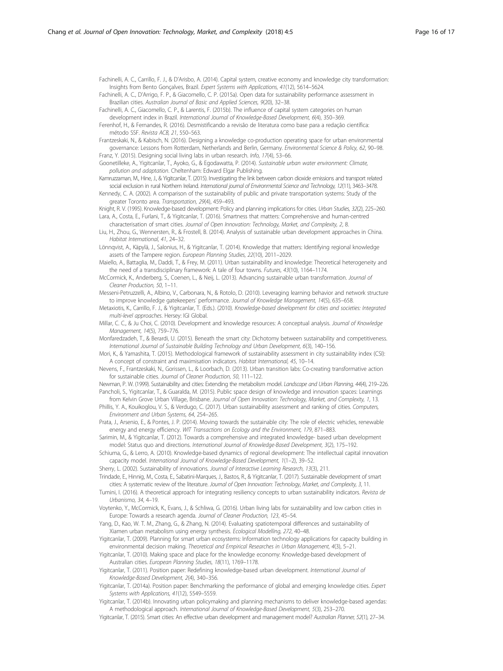<span id="page-15-0"></span>Fachinelli, A. C., Carrillo, F. J., & D'Arisbo, A. (2014). Capital system, creative economy and knowledge city transformation: Insights from Bento Gonçalves, Brazil. Expert Systems with Applications, 41(12), 5614–5624.

Fachinelli, A. C., D'Arrigo, F. P., & Giacomello, C. P. (2015a). Open data for sustainability performance assessment in Brazilian cities. Australian Journal of Basic and Applied Sciences, 9(20), 32–38.

Fachinelli, A. C., Giacomello, C. P., & Larentis, F. (2015b). The influence of capital system categories on human development index in Brazil. International Journal of Knowledge-Based Development, 6(4), 350–369.

Ferenhof, H., & Fernandes, R. (2016). Desmistificando a revisão de literatura como base para a redação científica: método SSF. Revista ACB, 21, 550–563.

Frantzeskaki, N., & Kabisch, N. (2016). Designing a knowledge co-production operating space for urban environmental governance: Lessons from Rotterdam, Netherlands and Berlin, Germany. Environmental Science & Policy, 62, 90–98. Franz, Y. (2015). Designing social living labs in urban research. Info, 17(4), 53–66.

Goonetilleke, A., Yigitcanlar, T., Ayoko, G., & Egodawatta, P. (2014). Sustainable urban water environment: Climate, pollution and adaptation. Cheltenham: Edward Elgar Publishing.

Kamruzzaman, M., Hine, J., & Yigitcanlar, T. (2015). Investigating the link between carbon dioxide emissions and transport related social exclusion in rural Northern Ireland. International journal of Environmental Science and Technology, 12(11), 3463–3478.

Kennedy, C. A. (2002). A comparison of the sustainability of public and private transportation systems: Study of the greater Toronto area. Transportation, 29(4), 459–493.

Knight, R. V. (1995). Knowledge-based development: Policy and planning implications for cities. Urban Studies, 32(2), 225–260. Lara, A., Costa, E., Furlani, T., & Yigitcanlar, T. (2016). Smartness that matters: Comprehensive and human-centred

characterisation of smart cities. Journal of Open Innovation: Technology, Market, and Complexity, 2, 8. Liu, H., Zhou, G., Wennersten, R., & Frostell, B. (2014). Analysis of sustainable urban development approaches in China. Habitat International, 41, 24–32.

Lönnqvist, A., Käpylä, J., Salonius, H., & Yigitcanlar, T. (2014). Knowledge that matters: Identifying regional knowledge assets of the Tampere region. European Planning Studies, 22(10), 2011–2029.

Maiello, A., Battaglia, M., Daddi, T., & Frey, M. (2011). Urban sustainability and knowledge: Theoretical heterogeneity and the need of a transdisciplinary framework: A tale of four towns. Futures, 43(10), 1164–1174.

McCormick, K., Anderberg, S., Coenen, L., & Neij, L. (2013). Advancing sustainable urban transformation. Journal of Cleaner Production, 50, 1–11.

Messeni-Petruzzelli, A., Albino, V., Carbonara, N., & Rotolo, D. (2010). Leveraging learning behavior and network structure to improve knowledge gatekeepers' performance. Journal of Knowledge Management, 14(5), 635–658.

Metaxiotis, K., Carrillo, F. J., & Yigitcanlar, T. (Eds.). (2010). Knowledge-based development for cities and societies: Integrated multi-level approaches. Hersey: IGI Global.

Millar, C. C., & Ju Choi, C. (2010). Development and knowledge resources: A conceptual analysis. Journal of Knowledge Management, 14(5), 759–776.

Monfaredzadeh, T., & Berardi, U. (2015). Beneath the smart city: Dichotomy between sustainability and competitiveness. International Journal of Sustainable Building Technology and Urban Development, 6(3), 140–156.

Mori, K., & Yamashita, T. (2015). Methodological framework of sustainability assessment in city sustainability index (CSI): A concept of constraint and maximisation indicators. Habitat International, 45, 10–14.

Nevens, F., Frantzeskaki, N., Gorissen, L., & Loorbach, D. (2013). Urban transition labs: Co-creating transformative action for sustainable cities. Journal of Cleaner Production, 50, 111–122.

Newman, P. W. (1999). Sustainability and cities: Extending the metabolism model. Landscape and Urban Planning, 44(4), 219–226. Pancholi, S., Yigitcanlar, T., & Guaralda, M. (2015). Public space design of knowledge and innovation spaces: Learnings

from Kelvin Grove Urban Village, Brisbane. Journal of Open Innovation: Technology, Market, and Complexity, 1, 13. Phillis, Y. A., Kouikoglou, V. S., & Verdugo, C. (2017). Urban sustainability assessment and ranking of cities. Computers, Environment and Urban Systems, 64, 254–265.

Prata, J., Arsenio, E., & Pontes, J. P. (2014). Moving towards the sustainable city: The role of electric vehicles, renewable energy and energy efficiency. WIT Transactions on Ecology and the Environment, 179, 871–883.

Sarimin, M., & Yigitcanlar, T. (2012). Towards a comprehensive and integrated knowledge- based urban development model: Status quo and directions. International Journal of Knowledge-Based Development, 3(2), 175–192.

Schiuma, G., & Lerro, A. (2010). Knowledge-based dynamics of regional development: The intellectual capital innovation capacity model. International Journal of Knowledge-Based Development, 1(1–2), 39–52.

Sherry, L. (2002). Sustainability of innovations. Journal of Interactive Learning Research, 13(3), 211.

Trindade, E., Hinnig, M., Costa, E., Sabatini-Marques, J., Bastos, R., & Yigitcanlar, T. (2017). Sustainable development of smart cities: A systematic review of the literature. Journal of Open Innovation: Technology, Market, and Complexity, 3, 11.

Tumini, I. (2016). A theoretical approach for integrating resiliency concepts to urban sustainability indicators. Revista de Urbanismo, 34, 4–19.

Voytenko, Y., McCormick, K., Evans, J., & Schliwa, G. (2016). Urban living labs for sustainability and low carbon cities in Europe: Towards a research agenda. Journal of Cleaner Production, 123, 45–54.

Yang, D., Kao, W. T. M., Zhang, G., & Zhang, N. (2014). Evaluating spatiotemporal differences and sustainability of Xiamen urban metabolism using energy synthesis. Ecological Modelling, 272, 40–48.

Yigitcanlar, T. (2009). Planning for smart urban ecosystems: Information technology applications for capacity building in environmental decision making. Theoretical and Empirical Researches in Urban Management, 4(3), 5–21.

Yigitcanlar, T. (2010). Making space and place for the knowledge economy: Knowledge-based development of Australian cities. European Planning Studies, 18(11), 1769–1178.

Yigitcanlar, T. (2011). Position paper: Redefining knowledge-based urban development. International Journal of Knowledge-Based Development, 2(4), 340–356.

Yigitcanlar, T. (2014a). Position paper: Benchmarking the performance of global and emerging knowledge cities. Expert Systems with Applications, 41(12), 5549–5559.

Yigitcanlar, T. (2014b). Innovating urban policymaking and planning mechanisms to deliver knowledge-based agendas: A methodological approach. International Journal of Knowledge-Based Development, 5(3), 253–270.

Yigitcanlar, T. (2015). Smart cities: An effective urban development and management model? Australian Planner, 52(1), 27–34.